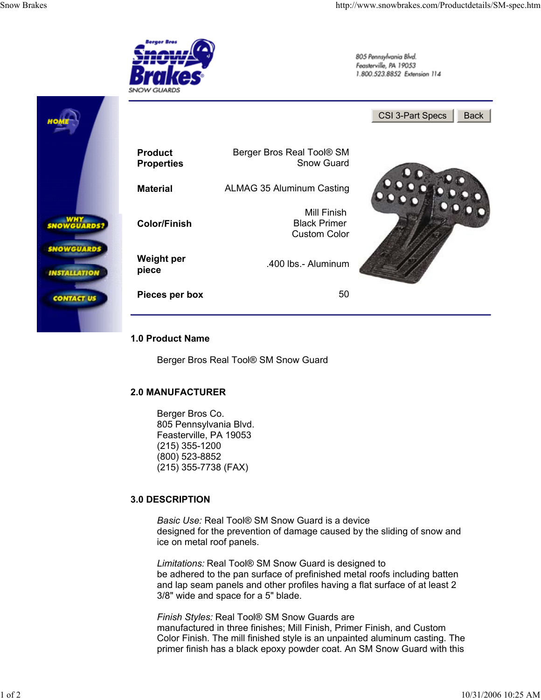## **3.0 DESCRIPTION**

*Basic Use:* Real Tool® SM Snow Guard is a device designed for the prevention of damage caused by the sliding of snow and ice on metal roof panels.

*Limitations:* Real Tool® SM Snow Guard is designed to be adhered to the pan surface of prefinished metal roofs including batten and lap seam panels and other profiles having a flat surface of at least 2 3/8" wide and space for a 5" blade.

*Finish Styles:* Real Tool® SM Snow Guards are manufactured in three finishes; Mill Finish, Primer Finish, and Custom Color Finish. The mill finished style is an unpainted aluminum casting. The primer finish has a black epoxy powder coat. An SM Snow Guard with this